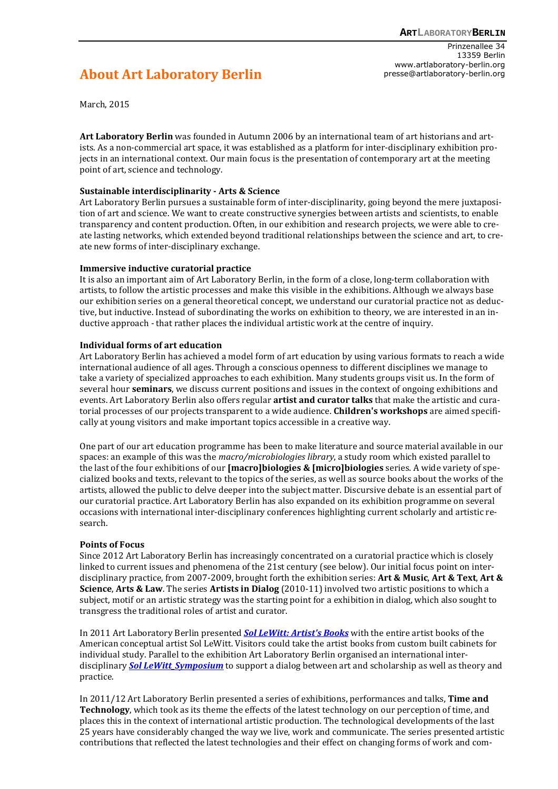**About Art Laboratory Berlin** 

Prinzenallee 34 13359 Berlin www.artlaboratory-berlin.org presse@artlaboratory-berlin.org

March, 2015

**Art Laboratory Berlin** was founded in Autumn 2006 by an international team of art historians and artists. As a non-commercial art space, it was established as a platform for inter-disciplinary exhibition projects in an international context. Our main focus is the presentation of contemporary art at the meeting point of art, science and technology.

## **Sustainable interdisciplinarity - Arts & Science**

Art Laboratory Berlin pursues a sustainable form of inter-disciplinarity, going beyond the mere juxtaposition of art and science. We want to create constructive synergies between artists and scientists, to enable transparency and content production. Often, in our exhibition and research projects, we were able to create lasting networks, which extended beyond traditional relationships between the science and art, to create new forms of inter-disciplinary exchange.

## **Immersive inductive curatorial practice**

It is also an important aim of Art Laboratory Berlin, in the form of a close, long-term collaboration with artists, to follow the artistic processes and make this visible in the exhibitions. Although we always base our exhibition series on a general theoretical concept, we understand our curatorial practice not as deductive, but inductive. Instead of subordinating the works on exhibition to theory, we are interested in an inductive approach - that rather places the individual artistic work at the centre of inquiry.

## **Individual forms of art education**

Art Laboratory Berlin has achieved a model form of art education by using various formats to reach a wide international audience of all ages. Through a conscious openness to different disciplines we manage to take a variety of specialized approaches to each exhibition. Many students groups visit us. In the form of several hour **seminars**, we discuss current positions and issues in the context of ongoing exhibitions and events. Art Laboratory Berlin also offers regular **artist and curator talks** that make the artistic and curatorial processes of our projects transparent to a wide audience. **Children's workshops** are aimed specifically at young visitors and make important topics accessible in a creative way.

One part of our art education programme has been to make literature and source material available in our spaces: an example of this was the *macro/microbiologies library*, a study room which existed parallel to the last of the four exhibitions of our **[macro]biologies & [micro]biologies** series. A wide variety of specialized books and texts, relevant to the topics of the series, as well as source books about the works of the artists, allowed the public to delve deeper into the subject matter. Discursive debate is an essential part of our curatorial practice. Art Laboratory Berlin has also expanded on its exhibition programme on several occasions with international inter-disciplinary conferences highlighting current scholarly and artistic research.

## **Points of Focus**

Since 2012 Art Laboratory Berlin has increasingly concentrated on a curatorial practice which is closely linked to current issues and phenomena of the 21st century (see below). Our initial focus point on interdisciplinary practice, from 2007-2009, brought forth the exhibition series: **Art & Music**, **Art & Text**, **Art & Science**, **Arts & Law**. The series **Artists in Dialog** (2010-11) involved two artistic positions to which a subject, motif or an artistic strategy was the starting point for a exhibition in dialog, which also sought to transgress the traditional roles of artist and curator.

In 2011 Art Laboratory Berlin presented *Sol LeWitt: Artist's Books* with the entire artist books of the American conceptual artist Sol LeWitt. Visitors could take the artist books from custom built cabinets for individual study. Parallel to the exhibition Art Laboratory Berlin organised an international interdisciplinary *Sol LeWitt\_Symposium* to support a dialog between art and scholarship as well as theory and practice.

In 2011/12 Art Laboratory Berlin presented a series of exhibitions, performances and talks, **Time and Technology**, which took as its theme the effects of the latest technology on our perception of time, and places this in the context of international artistic production. The technological developments of the last 25 years have considerably changed the way we live, work and communicate. The series presented artistic contributions that reflected the latest technologies and their effect on changing forms of work and com